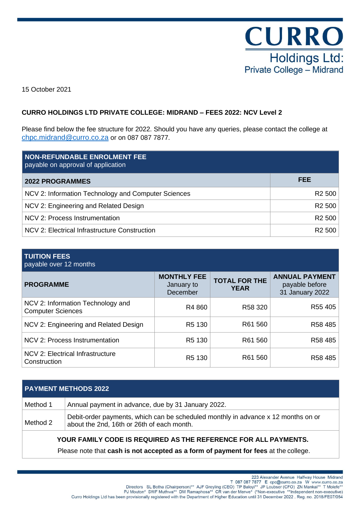

15 October 2021

# **CURRO HOLDINGS LTD PRIVATE COLLEGE: MIDRAND – FEES 2022: NCV Level 2**

Please find below the fee structure for 2022. Should you have any queries, please contact the college at [chpc.midrand@curro.co.za](mailto:chpc.midrand@curro.co.za) or on 087 087 7877.

| <b>NON-REFUNDABLE ENROLMENT FEE</b><br>payable on approval of application |                    |
|---------------------------------------------------------------------------|--------------------|
| <b>2022 PROGRAMMES</b>                                                    | FEE                |
| NCV 2: Information Technology and Computer Sciences                       | R <sub>2</sub> 500 |
| NCV 2: Engineering and Related Design                                     | R <sub>2</sub> 500 |
| NCV 2: Process Instrumentation                                            | R <sub>2</sub> 500 |
| NCV 2: Electrical Infrastructure Construction                             | R <sub>2</sub> 500 |

# **TUITION FEES** payable over 12 months

| <b>PROGRAMME</b>                                              | <b>MONTHLY FEE</b><br>January to<br>December | <b>TOTAL FOR THE</b><br><b>YEAR</b> | <b>ANNUAL PAYMENT</b><br>payable before<br>31 January 2022 |
|---------------------------------------------------------------|----------------------------------------------|-------------------------------------|------------------------------------------------------------|
| NCV 2: Information Technology and<br><b>Computer Sciences</b> | R4 860                                       | R58 320                             | R55 405                                                    |
| NCV 2: Engineering and Related Design                         | R <sub>5</sub> 130                           | R61 560                             | R58 485                                                    |
| NCV 2: Process Instrumentation                                | R <sub>5</sub> 130                           | R61 560                             | R58 485                                                    |
| NCV 2: Electrical Infrastructure<br>Construction              | R <sub>5</sub> 130                           | R61 560                             | R58 485                                                    |

| <b>PAYMENT METHODS 2022</b>                                   |                                                                                                                                 |  |
|---------------------------------------------------------------|---------------------------------------------------------------------------------------------------------------------------------|--|
| Method 1                                                      | Annual payment in advance, due by 31 January 2022.                                                                              |  |
| Method 2                                                      | Debit-order payments, which can be scheduled monthly in advance x 12 months on or<br>about the 2nd, 16th or 26th of each month. |  |
| VOUD EAMILY CODE IS DEOUDED AS THE DECEDENCE COD ALL DAVMENTS |                                                                                                                                 |  |

### **YOUR FAMILY CODE IS REQUIRED AS THE REFERENCE FOR ALL PAYMENTS.**

Please note that **cash is not accepted as a form of payment for fees** at the college.